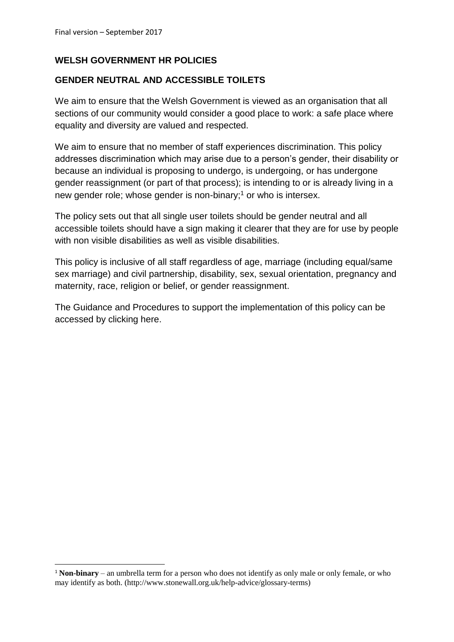**.** 

# **WELSH GOVERNMENT HR POLICIES**

## **GENDER NEUTRAL AND ACCESSIBLE TOILETS**

We aim to ensure that the Welsh Government is viewed as an organisation that all sections of our community would consider a good place to work: a safe place where equality and diversity are valued and respected.

We aim to ensure that no member of staff experiences discrimination. This policy addresses discrimination which may arise due to a person's gender, their disability or because an individual is proposing to undergo, is undergoing, or has undergone gender reassignment (or part of that process); is intending to or is already living in a new gender role; whose gender is non-binary;<sup>1</sup> or who is intersex.

The policy sets out that all single user toilets should be gender neutral and all accessible toilets should have a sign making it clearer that they are for use by people with non visible disabilities as well as visible disabilities.

This policy is inclusive of all staff regardless of age, marriage (including equal/same sex marriage) and civil partnership, disability, sex, sexual orientation, pregnancy and maternity, race, religion or belief, or gender reassignment.

The Guidance and Procedures to support the implementation of this policy can be accessed by clicking here.

<sup>1</sup> **Non-binary** – an umbrella term for a person who does not identify as only male or only female, or who may identify as both. (http://www.stonewall.org.uk/help-advice/glossary-terms)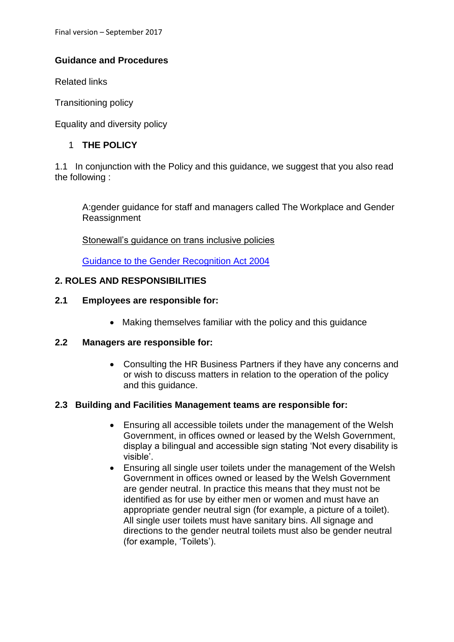Final version – September 2017

# **Guidance and Procedures**

Related links

Transitioning policy

Equality and diversity policy

### 1 **THE POLICY**

1.1 In conjunction with the Policy and this guidance, we suggest that you also read the following :

A:gender guidance for staff and managers called The Workplace and Gender **Reassignment** 

[Stonewall's guidance on trans inclusive policies](http://www.stonewall.org.uk/our-work/workplace-resources)

[Guidance to the Gender Recognition Act 2004](http://formfinder.hmctsformfinder.justice.gov.uk/t455-eng-2016.04.01.pdf)

### **2. ROLES AND RESPONSIBILITIES**

#### **2.1 Employees are responsible for:**

Making themselves familiar with the policy and this guidance

#### **2.2 Managers are responsible for:**

 Consulting the HR Business Partners if they have any concerns and or wish to discuss matters in relation to the operation of the policy and this guidance.

#### **2.3 Building and Facilities Management teams are responsible for:**

- Ensuring all accessible toilets under the management of the Welsh Government, in offices owned or leased by the Welsh Government, display a bilingual and accessible sign stating 'Not every disability is visible'.
- Ensuring all single user toilets under the management of the Welsh Government in offices owned or leased by the Welsh Government are gender neutral. In practice this means that they must not be identified as for use by either men or women and must have an appropriate gender neutral sign (for example, a picture of a toilet). All single user toilets must have sanitary bins. All signage and directions to the gender neutral toilets must also be gender neutral (for example, 'Toilets').